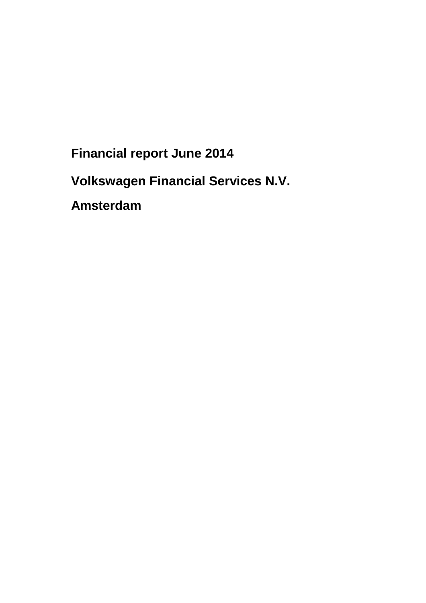**Financial report June 2014** 

**Volkswagen Financial Services N.V.** 

**Amsterdam**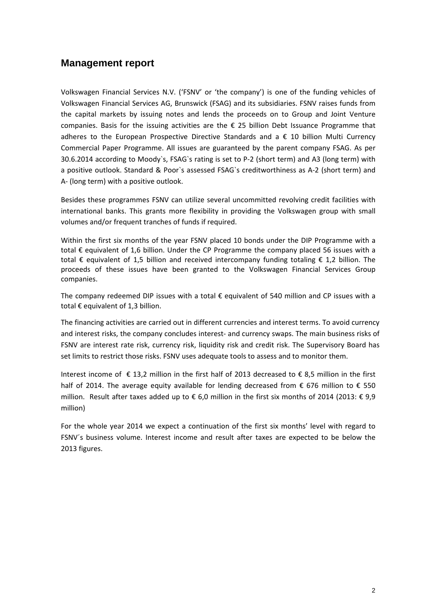# **Management report**

Volkswagen Financial Services N.V. ('FSNV' or 'the company') is one of the funding vehicles of Volkswagen Financial Services AG, Brunswick (FSAG) and its subsidiaries. FSNV raises funds from the capital markets by issuing notes and lends the proceeds on to Group and Joint Venture companies. Basis for the issuing activities are the € 25 billion Debt Issuance Programme that adheres to the European Prospective Directive Standards and a € 10 billion Multi Currency Commercial Paper Programme. All issues are guaranteed by the parent company FSAG. As per 30.6.2014 according to Moody`s, FSAG`s rating is set to P-2 (short term) and A3 (long term) with a positive outlook. Standard & Poor`s assessed FSAG`s creditworthiness as A-2 (short term) and A- (long term) with a positive outlook.

Besides these programmes FSNV can utilize several uncommitted revolving credit facilities with international banks. This grants more flexibility in providing the Volkswagen group with small volumes and/or frequent tranches of funds if required.

Within the first six months of the year FSNV placed 10 bonds under the DIP Programme with a total € equivalent of 1,6 billion. Under the CP Programme the company placed 56 issues with a total € equivalent of 1,5 billion and received intercompany funding totaling € 1,2 billion. The proceeds of these issues have been granted to the Volkswagen Financial Services Group companies.

The company redeemed DIP issues with a total  $\epsilon$  equivalent of 540 million and CP issues with a total € equivalent of 1,3 billion.

The financing activities are carried out in different currencies and interest terms. To avoid currency and interest risks, the company concludes interest- and currency swaps. The main business risks of FSNV are interest rate risk, currency risk, liquidity risk and credit risk. The Supervisory Board has set limits to restrict those risks. FSNV uses adequate tools to assess and to monitor them.

Interest income of € 13,2 million in the first half of 2013 decreased to € 8,5 million in the first half of 2014. The average equity available for lending decreased from  $\epsilon$  676 million to  $\epsilon$  550 million. Result after taxes added up to € 6,0 million in the first six months of 2014 (2013: € 9,9 million)

For the whole year 2014 we expect a continuation of the first six months' level with regard to FSNV´s business volume. Interest income and result after taxes are expected to be below the 2013 figures.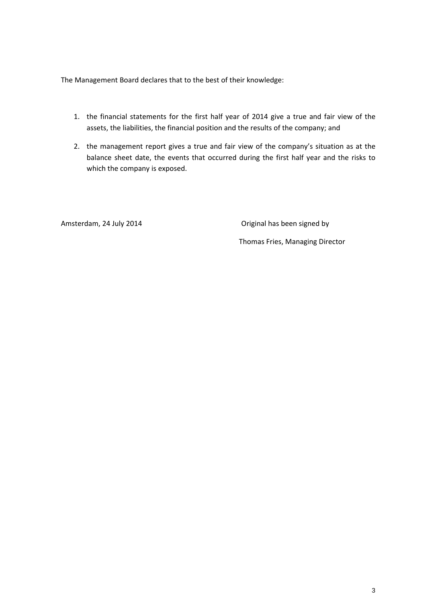The Management Board declares that to the best of their knowledge:

- 1. the financial statements for the first half year of 2014 give a true and fair view of the assets, the liabilities, the financial position and the results of the company; and
- 2. the management report gives a true and fair view of the company's situation as at the balance sheet date, the events that occurred during the first half year and the risks to which the company is exposed.

Amsterdam, 24 July 2014 **Conserverse Conserverse Conserverse Conserverse Conserverse Conserverse Conserverse Conserverse Conserverse Conserverse Conserverse Conserverse Conserverse Conserverse Conserverse Conserverse Conse** 

Thomas Fries, Managing Director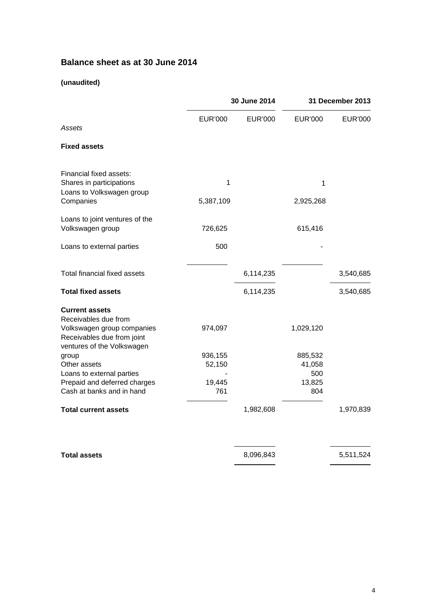# **Balance sheet as at 30 June 2014**

### **(unaudited)**

|                                                                                                                  | 30 June 2014                |                | 31 December 2013                   |                |
|------------------------------------------------------------------------------------------------------------------|-----------------------------|----------------|------------------------------------|----------------|
| Assets                                                                                                           | EUR'000                     | <b>EUR'000</b> | <b>EUR'000</b>                     | <b>EUR'000</b> |
| <b>Fixed assets</b>                                                                                              |                             |                |                                    |                |
| Financial fixed assets:<br>Shares in participations                                                              | $\mathbf{1}$                |                | 1                                  |                |
| Loans to Volkswagen group<br>Companies                                                                           | 5,387,109                   |                | 2,925,268                          |                |
| Loans to joint ventures of the<br>Volkswagen group                                                               | 726,625                     |                | 615,416                            |                |
| Loans to external parties                                                                                        | 500                         |                |                                    |                |
| Total financial fixed assets                                                                                     |                             | 6,114,235      |                                    | 3,540,685      |
| <b>Total fixed assets</b>                                                                                        |                             | 6,114,235      |                                    | 3,540,685      |
| <b>Current assets</b><br>Receivables due from<br>Volkswagen group companies<br>Receivables due from joint        | 974,097                     |                | 1,029,120                          |                |
| ventures of the Volkswagen<br>group<br>Other assets<br>Loans to external parties<br>Prepaid and deferred charges | 936,155<br>52,150<br>19,445 |                | 885,532<br>41,058<br>500<br>13,825 |                |
| Cash at banks and in hand                                                                                        | 761                         |                | 804                                |                |
| <b>Total current assets</b>                                                                                      |                             | 1,982,608      |                                    | 1,970,839      |
| <b>Total assets</b>                                                                                              |                             | 8,096,843      |                                    | 5,511,524      |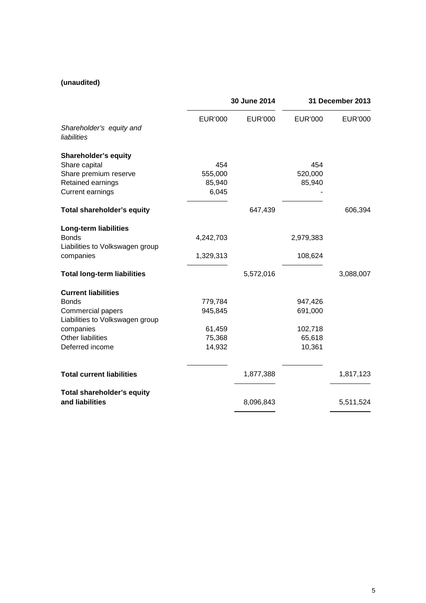### **(unaudited)**

|                                               | 30 June 2014   |                | 31 December 2013 |           |
|-----------------------------------------------|----------------|----------------|------------------|-----------|
| Shareholder's equity and                      | <b>EUR'000</b> | <b>EUR'000</b> | <b>EUR'000</b>   | EUR'000   |
| liabilities                                   |                |                |                  |           |
| <b>Shareholder's equity</b>                   |                |                |                  |           |
| Share capital                                 | 454            |                | 454              |           |
| Share premium reserve                         | 555,000        |                | 520,000          |           |
| Retained earnings                             | 85,940         |                | 85,940           |           |
| <b>Current earnings</b>                       | 6,045          |                |                  |           |
| Total shareholder's equity                    |                | 647,439        |                  | 606,394   |
| <b>Long-term liabilities</b>                  |                |                |                  |           |
| <b>Bonds</b>                                  | 4,242,703      |                | 2,979,383        |           |
| Liabilities to Volkswagen group               |                |                |                  |           |
| companies                                     | 1,329,313      |                | 108,624          |           |
| <b>Total long-term liabilities</b>            |                | 5,572,016      |                  | 3,088,007 |
| <b>Current liabilities</b>                    |                |                |                  |           |
| <b>Bonds</b>                                  | 779,784        |                | 947,426          |           |
| Commercial papers                             | 945,845        |                | 691,000          |           |
| Liabilities to Volkswagen group               |                |                |                  |           |
| companies                                     | 61,459         |                | 102,718          |           |
| <b>Other liabilities</b>                      | 75,368         |                | 65,618           |           |
| Deferred income                               | 14,932         |                | 10,361           |           |
| <b>Total current liabilities</b>              |                | 1,877,388      |                  | 1,817,123 |
|                                               |                |                |                  |           |
| Total shareholder's equity<br>and liabilities |                | 8,096,843      |                  | 5,511,524 |